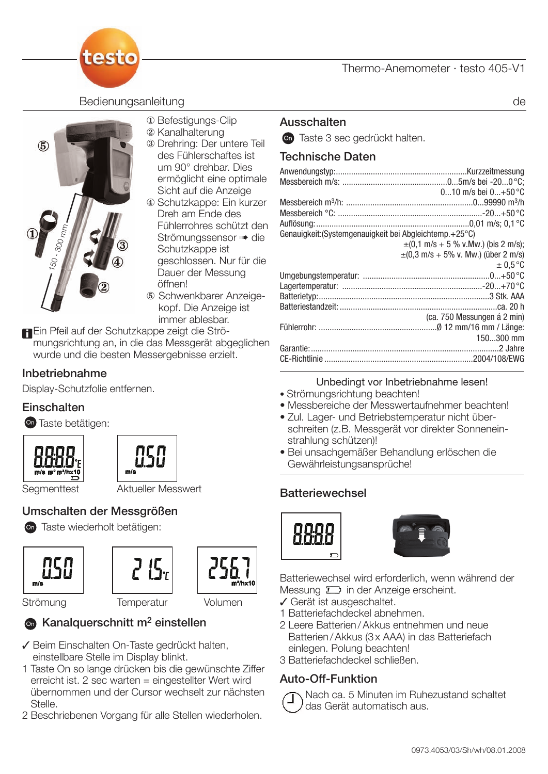#### Thermo-Anemometer · testo 405-V1



#### Bedienungsanleitung der der antikelige auch der antikelige auch der antikelige auch der antikelige auch der an



- <sup>1</sup> Befestigungs-Clip
- 2 Kanalhalterung
- 3 Drehring: Der untere Teil des Fühlerschaftes ist um 90° drehbar. Dies ermöglicht eine optimale Sicht auf die Anzeige
- ~ Schutzkappe: Ein kurzer Dreh am Ende des Fühlerrohres schützt den Strömungssensor · die Schutzkappe ist geschlossen. Nur für die Dauer der Messung öffnen!
- Schwenkbarer Anzeigekopf. Die Anzeige ist immer ablesbar.

Ein Pfeil auf der Schutzkappe zeigt die Strömungsrichtung an, in die das Messgerät abgeglichen wurde und die besten Messergebnisse erzielt.

#### Inbetriebnahme

Display-Schutzfolie entfernen.

#### **Einschalten**

**On** Taste betätigen:





# Segmenttest Aktueller Messwert

## Umschalten der Messgrößen

Taste wiederholt betätigen:







Strömung Temperatur Volumen

## **C** Kanalquerschnitt m<sup>2</sup> einstellen

- Beim Einschalten On-Taste gedrückt halten, einstellbare Stelle im Display blinkt.
- 1 Taste On so lange drücken bis die gewünschte Ziffer erreicht ist. 2 sec warten = eingestellter Wert wird übernommen und der Cursor wechselt zur nächsten Stelle.
- 2 Beschriebenen Vorgang für alle Stellen wiederholen.

#### Ausschalten

**On** Taste 3 sec gedrückt halten.

#### Technische Daten

|                                                           | $010$ m/s bei $0+50$ °C                                    |
|-----------------------------------------------------------|------------------------------------------------------------|
|                                                           |                                                            |
|                                                           |                                                            |
|                                                           |                                                            |
| Genauigkeit: (Systemgenauigkeit bei Abgleichtemp. + 25°C) |                                                            |
|                                                           | $\pm (0.1 \text{ m/s} + 5 \% \text{ v.Mw.})$ (bis 2 m/s);  |
|                                                           | $\pm (0.3 \text{ m/s} + 5\% \text{ v}$ . Mw.) (über 2 m/s) |
|                                                           | $\pm 0.5$ °C                                               |
|                                                           |                                                            |
|                                                           |                                                            |
|                                                           |                                                            |
|                                                           |                                                            |
|                                                           | (ca. 750 Messungen á 2 min)                                |
|                                                           |                                                            |
|                                                           | 150300 mm                                                  |
|                                                           |                                                            |
|                                                           |                                                            |

#### Unbedingt vor Inbetriebnahme lesen!

- Strömungsrichtung beachten!
- Messbereiche der Messwertaufnehmer beachten!
- Zul. Lager- und Betriebstemperatur nicht überschreiten (z.B. Messgerät vor direkter Sonneneinstrahlung schützen)!
- Bei unsachgemäßer Behandlung erlöschen die Gewährleistungsansprüche!

#### **Batteriewechsel**





Batteriewechsel wird erforderlich, wenn während der Messung  $\square$  in der Anzeige erscheint.

- Gerät ist ausgeschaltet.
- 1 Batteriefachdeckel abnehmen.
- 2 Leere Batterien / Akkus entnehmen und neue Batterien / Akkus (3 x AAA) in das Batteriefach einlegen. Polung beachten!
- 3 Batteriefachdeckel schließen.

#### Auto-Off-Funktion

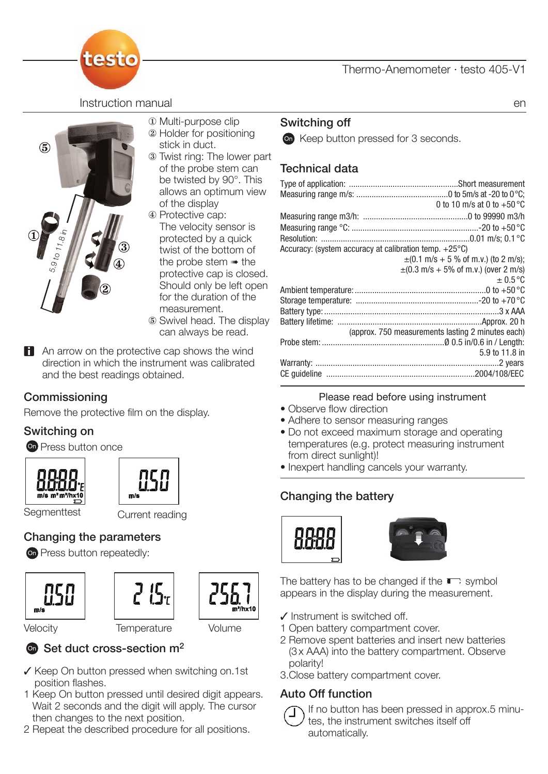#### Thermo-Anemometer · testo 405-V1

testo

**Instruction manual** entries and the contract of the contract of the contract of the contract of the contract of the contract of the contract of the contract of the contract of the contract of the contract of the contract



- $\Phi$  Multi-purpose clip
- 2 Holder for positioning stick in duct.
- <sup>3</sup> Twist ring: The lower part of the probe stem can be twisted by 90°. This allows an optimum view of the display
- ~ Protective cap: The velocity sensor is protected by a quick twist of the bottom of the probe stem  $*$  the protective cap is closed. Should only be left open for the duration of the measurement. Swivel head. The display
- can always be read.
- **An arrow on the protective cap shows the wind** direction in which the instrument was calibrated and the best readings obtained.

#### Commissioning

Remove the protective film on the display.

#### Switching on

**O** Press button once





Segmenttest Current reading

#### Changing the parameters

on Press button repeatedly:







Velocity Temperature Volume

## $\bullet$  Set duct cross-section  $m^2$

- $\checkmark$  Keep On button pressed when switching on.1st position flashes.
- 1 Keep On button pressed until desired digit appears. Wait 2 seconds and the digit will apply. The cursor then changes to the next position.
- 2 Repeat the described procedure for all positions.

## Switching off

 $\bullet$  Keep button pressed for 3 seconds.

## Technical data

|                                                        | 0 to 10 m/s at 0 to $+50^{\circ}$ C               |
|--------------------------------------------------------|---------------------------------------------------|
|                                                        |                                                   |
|                                                        |                                                   |
|                                                        |                                                   |
| Accuracy: (system accuracy at calibration temp. +25°C) |                                                   |
|                                                        | $\pm$ (0.1 m/s + 5 % of m.v.) (to 2 m/s);         |
|                                                        | $\pm$ (0.3 m/s + 5% of m.v.) (over 2 m/s)         |
|                                                        | $\pm 0.5$ °C                                      |
|                                                        |                                                   |
|                                                        |                                                   |
|                                                        |                                                   |
|                                                        |                                                   |
|                                                        | (approx. 750 measurements lasting 2 minutes each) |
|                                                        |                                                   |
|                                                        | 5.9 to 11.8 in                                    |
|                                                        |                                                   |
|                                                        |                                                   |

#### Please read before using instrument

- Observe flow direction
- Adhere to sensor measuring ranges
- Do not exceed maximum storage and operating temperatures (e.g. protect measuring instrument from direct sunlight)!
- Inexpert handling cancels your warranty.

## Changing the battery





The battery has to be changed if the  $\blacksquare$  symbol appears in the display during the measurement.

- $\checkmark$  Instrument is switched off.
- 1 Open battery compartment cover.
- 2 Remove spent batteries and insert new batteries (3 x AAA) into the battery compartment. Observe polarity!
- 3.Close battery compartment cover.

#### Auto Off function



If no button has been pressed in approx.5 minutes, the instrument switches itself off automatically.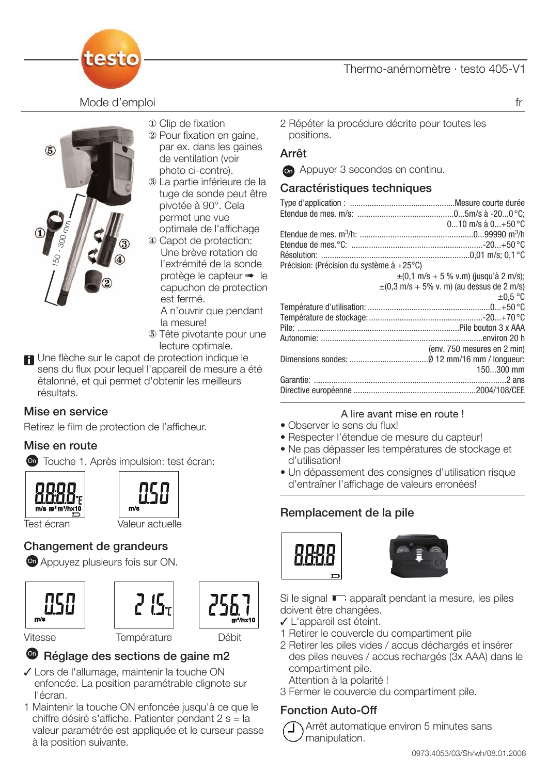

Mode d'emploi fr



- $\Phi$  Clip de fixation
- <sup>2</sup> Pour fixation en gaine, par ex. dans les gaines de ventilation (voir photo ci-contre).
- 3 La partie inférieure de la tuge de sonde peut être pivotée à 90°. Cela permet une vue optimale de l'affichage
- ~ Capot de protection: Une brève rotation de l'extrémité de la sonde protège le capteur  $\blacksquare$  le capuchon de protection est fermé.

A n'ouvrir que pendant la mesure!

- Tête pivotante pour une lecture optimale.
- Une flèche sur le capot de protection indique le sens du flux pour lequel l'appareil de mesure a été étalonné, et qui permet d'obtenir les meilleurs résultats.

#### Mise en service

Retirez le film de protection de l'afficheur.

#### Mise en route

**On** Touche 1. Après impulsion: test écran:





Test écran Valeur actuelle

## Changement de grandeurs

**On** Appuyez plusieurs fois sur ON.







Vitesse Température Débit

## <sup>®</sup> Réglage des sections de gaine m2

- Lors de l'allumage, maintenir la touche ON enfoncée. La position paramétrable clignote sur l'écran.
- 1 Maintenir la touche ON enfoncée jusqu'à ce que le chiffre désiré s'affiche. Patienter pendant 2 s = la valeur paramétrée est appliquée et le curseur passe à la position suivante.

2 Répéter la procédure décrite pour toutes les positions.

#### Arrêt

**Con** Appuyer 3 secondes en continu.

#### Caractéristiques techniques

|                                           | $010$ m/s à $0+50$ °C                                                       |
|-------------------------------------------|-----------------------------------------------------------------------------|
|                                           |                                                                             |
|                                           |                                                                             |
|                                           |                                                                             |
|                                           |                                                                             |
| Précision: (Précision du système à +25°C) |                                                                             |
|                                           | $\pm (0.1 \text{ m/s} + 5 \% \text{ v.m})$ (jusqu'à 2 m/s);                 |
|                                           | $\pm (0.3 \text{ m/s} + 5\% \text{ v} \cdot \text{m})$ (au dessus de 2 m/s) |
|                                           | $\pm 0.5$ °C                                                                |
|                                           |                                                                             |
|                                           |                                                                             |
|                                           |                                                                             |
|                                           |                                                                             |
|                                           | (env. 750 mesures en 2 min)                                                 |
|                                           |                                                                             |
|                                           | 150300 mm                                                                   |
|                                           |                                                                             |
|                                           |                                                                             |
|                                           |                                                                             |
|                                           |                                                                             |

#### A lire avant mise en route !

- Observer le sens du flux!
- Respecter l'étendue de mesure du capteur!
- Ne pas dépasser les températures de stockage et d'utilisation!
- Un dépassement des consignes d'utilisation risque d'entraîner l'affichage de valeurs erronées!

#### Remplacement de la pile





Si le signal  $\Box$  apparaît pendant la mesure, les piles doivent être changées.

- L'appareil est éteint.
- 1 Retirer le couvercle du compartiment pile
- 2 Retirer les piles vides / accus déchargés et insérer des piles neuves / accus rechargés (3x AAA) dans le compartiment pile.
	- Attention à la polarité !
- 3 Fermer le couvercle du compartiment pile.

## Fonction Auto-Off

Arrêt automatique environ 5 minutes sans manipulation.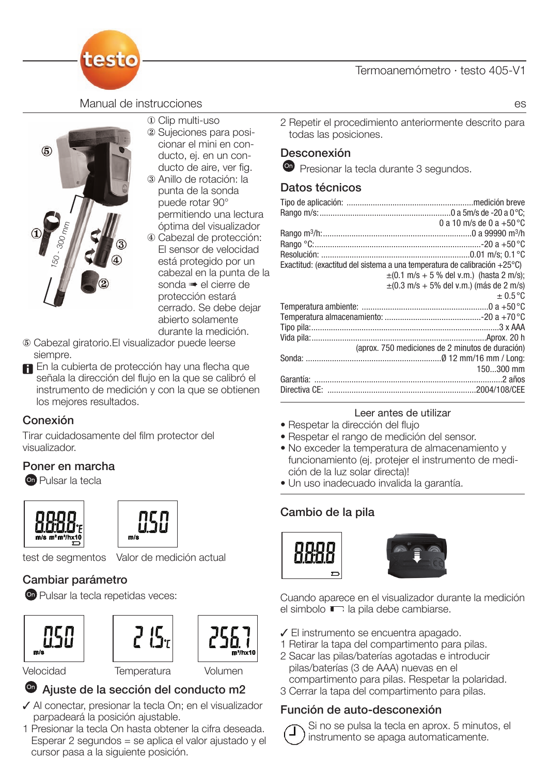

#### Manual de instrucciones es



- { Clip multi-uso
	- <sup>2</sup> Sujeciones para posicionar el mini en conducto, ej. en un conducto de aire, ver fig. <sup>3</sup> Anillo de rotación: la
	- punta de la sonda puede rotar 90° permitiendo una lectura óptima del visualizador
	- ~ Cabezal de protección: El sensor de velocidad está protegido por un cabezal en la punta de la sonda · el cierre de protección estará cerrado. Se debe dejar abierto solamente durante la medición.
- Cabezal giratorio.El visualizador puede leerse siempre.
- **En** En la cubierta de protección hay una flecha que señala la dirección del flujo en la que se calibró el instrumento de medición y con la que se obtienen los mejores resultados.

#### Conexión

Tirar cuidadosamente del film protector del visualizador.

#### Poner en marcha

Pulsar la tecla





test de segmentos Valor de medición actual

## Cambiar parámetro

on Pulsar la tecla repetidas veces:







## Velocidad Temperatura Volumen

- Ajuste de la sección del conducto m2
- ◆ Al conectar, presionar la tecla On; en el visualizador parpadeará la posición ajustable.
- 1 Presionar la tecla On hasta obtener la cifra deseada. Esperar 2 segundos = se aplica el valor ajustado y el cursor pasa a la siguiente posición.

2 Repetir el procedimiento anteriormente descrito para todas las posiciones.

#### Desconexión

**P** Presionar la tecla durante 3 segundos.

#### Datos técnicos

| 0 a 10 m/s de 0 a $+50^{\circ}$ C                                                    |
|--------------------------------------------------------------------------------------|
|                                                                                      |
|                                                                                      |
|                                                                                      |
| Exactitud: (exactitud del sistema a una temperatura de calibración +25 $^{\circ}$ C) |
| $\pm$ (0.1 m/s + 5 % del v.m.) (hasta 2 m/s);                                        |
| $\pm$ (0.3 m/s + 5% del v.m.) (más de 2 m/s)                                         |
| $\pm 0.5$ °C                                                                         |
|                                                                                      |
|                                                                                      |
|                                                                                      |
|                                                                                      |
| (aprox. 750 mediciones de 2 minutos de duración)                                     |
|                                                                                      |
| 150300 mm                                                                            |
|                                                                                      |
|                                                                                      |
|                                                                                      |

#### Leer antes de utilizar

- Respetar la dirección del flujo
- Respetar el rango de medición del sensor.
- No exceder la temperatura de almacenamiento y funcionamiento (ej. protejer el instrumento de medición de la luz solar directa)!
- Un uso inadecuado invalida la garantía.

## Cambio de la pila





Cuando aparece en el visualizador durante la medición el simbolo  $\Box$  la pila debe cambiarse.

- El instrumento se encuentra apagado.
- 1 Retirar la tapa del compartimento para pilas.
- 2 Sacar las pilas/baterías agotadas e introducir pilas/baterías (3 de AAA) nuevas en el
- compartimento para pilas. Respetar la polaridad.
- 3 Cerrar la tapa del compartimento para pilas.

#### Función de auto-desconexión

Si no se pulsa la tecla en aprox. 5 minutos, el instrumento se apaga automaticamente.

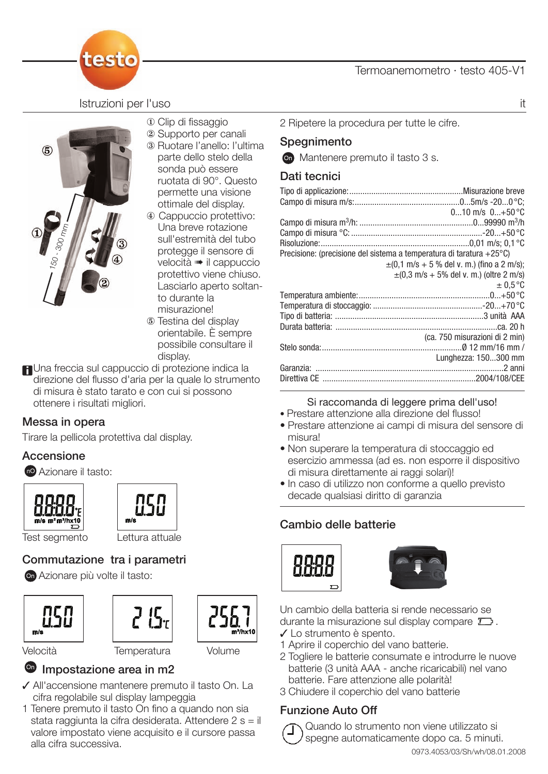

Istruzioni per l'uso italiano della contrattua della contrattua della contrattua della contrattua della contrattua della contrattua della contrattua della contrattua della contrattua della contrattua della contrattua della



- $\Phi$  Clip di fissaggio
- 2 Supporto per canali
- <sup>3</sup> Ruotare l'anello: l'ultima parte dello stelo della sonda può essere ruotata di 90°. Questo permette una visione ottimale del display.
- ~ Cappuccio protettivo: Una breve rotazione sull'estremità del tubo protegge il sensore di velocità · il cappuccio protettivo viene chiuso. Lasciarlo aperto soltanto durante la misurazione!
- Testina del display orientabile. È sempre possibile consultare il display.
- **FI**Una freccia sul cappuccio di protezione indica la direzione del flusso d'aria per la quale lo strumento di misura è stato tarato e con cui si possono ottenere i risultati migliori.

#### Messa in opera

Tirare la pellicola protettiva dal display.

#### Accensione

 $\bullet$  Azionare il tasto:







## Commutazione tra i parametri

Azionare più volte il tasto:







Velocità Temperatura Volume

## <sup>o</sup> Impostazione area in m2

- All'accensione mantenere premuto il tasto On. La cifra regolabile sul display lampeggia
- 1 Tenere premuto il tasto On fino a quando non sia stata raggiunta la cifra desiderata. Attendere 2 s = il valore impostato viene acquisito e il cursore passa alla cifra successiva.

2 Ripetere la procedura per tutte le cifre.

## **Spegnimento**

**On** Mantenere premuto il tasto 3 s.

## Dati tecnici

| $010$ m/s $0+50$ °C                                                  |
|----------------------------------------------------------------------|
|                                                                      |
|                                                                      |
|                                                                      |
| Precisione: (precisione del sistema a temperatura di taratura +25°C) |
| $\pm$ (0,1 m/s + 5 % del v. m.) (fino a 2 m/s);                      |
| $\pm (0.3 \text{ m/s} + 5\% \text{ del v. m.})$ (oltre 2 m/s)        |
| $\pm 0.5$ °C                                                         |
|                                                                      |
|                                                                      |
|                                                                      |
|                                                                      |
| (ca. 750 misurazioni di 2 min)                                       |
|                                                                      |
| Lunghezza: 150300 mm                                                 |
|                                                                      |
|                                                                      |
|                                                                      |

#### Si raccomanda di leggere prima dell'uso!

- Prestare attenzione alla direzione del flusso!
- Prestare attenzione ai campi di misura del sensore di misura!
- Non superare la temperatura di stoccaggio ed esercizio ammessa (ad es. non esporre il dispositivo di misura direttamente ai raggi solari)!
- In caso di utilizzo non conforme a quello previsto decade qualsiasi diritto di garanzia

## Cambio delle batterie





Un cambio della batteria si rende necessario se durante la misurazione sul display compare  $\square$ .

- Lo strumento è spento.
- 1 Aprire il coperchio del vano batterie.
- 2 Togliere le batterie consumate e introdurre le nuove batterie (3 unità AAA - anche ricaricabili) nel vano batterie. Fare attenzione alle polarità!
- 3 Chiudere il coperchio del vano batterie

#### Funzione Auto Off

Quando lo strumento non viene utilizzato si spegne automaticamente dopo ca. 5 minuti.